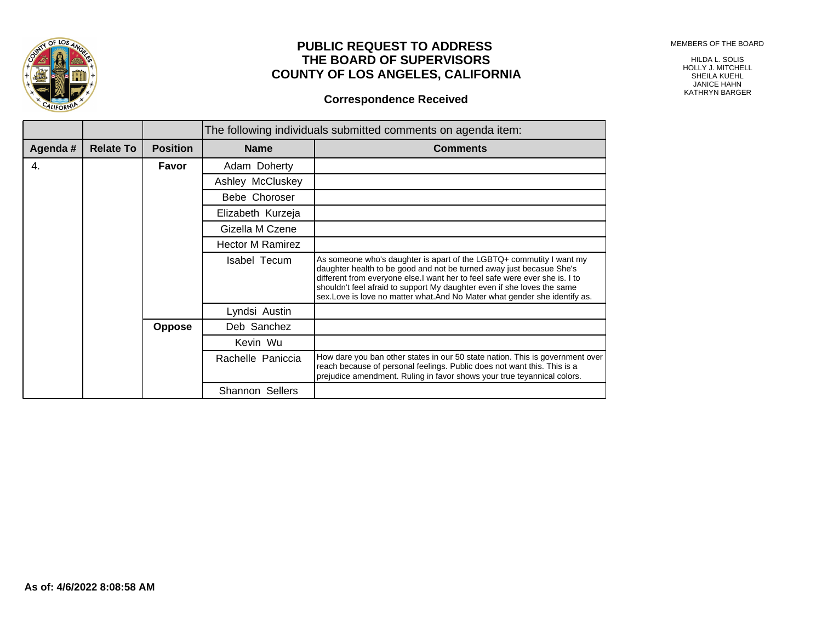MEMBERS OF THE BOARD



## **PUBLIC REQUEST TO ADDRESS THE BOARD OF SUPERVISORS COUNTY OF LOS ANGELES, CALIFORNIA**

## **Correspondence Received**

HILDA L. SOLIS HOLLY J. MITCHELL SHEILA KUEHL JANICE HAHN KATHRYN BARGER

|         |                  |                 | The following individuals submitted comments on agenda item: |                                                                                                                                                                                                                                                                                                                                                                                     |  |
|---------|------------------|-----------------|--------------------------------------------------------------|-------------------------------------------------------------------------------------------------------------------------------------------------------------------------------------------------------------------------------------------------------------------------------------------------------------------------------------------------------------------------------------|--|
| Agenda# | <b>Relate To</b> | <b>Position</b> | <b>Name</b>                                                  | <b>Comments</b>                                                                                                                                                                                                                                                                                                                                                                     |  |
| 4.      |                  | Favor           | Adam Doherty                                                 |                                                                                                                                                                                                                                                                                                                                                                                     |  |
|         |                  |                 | Ashley McCluskey                                             |                                                                                                                                                                                                                                                                                                                                                                                     |  |
|         |                  |                 | Bebe Choroser                                                |                                                                                                                                                                                                                                                                                                                                                                                     |  |
|         |                  |                 | Elizabeth Kurzeja                                            |                                                                                                                                                                                                                                                                                                                                                                                     |  |
|         |                  |                 | Gizella M Czene                                              |                                                                                                                                                                                                                                                                                                                                                                                     |  |
|         |                  |                 | <b>Hector M Ramirez</b>                                      |                                                                                                                                                                                                                                                                                                                                                                                     |  |
|         |                  |                 | Isabel Tecum                                                 | As someone who's daughter is apart of the LGBTQ+ commutity I want my<br>daughter health to be good and not be turned away just becasue She's<br>different from everyone else.I want her to feel safe were ever she is. I to<br>shouldn't feel afraid to support My daughter even if she loves the same<br>sex.Love is love no matter what.And No Mater what gender she identify as. |  |
|         |                  |                 | Lyndsi Austin                                                |                                                                                                                                                                                                                                                                                                                                                                                     |  |
|         |                  | <b>Oppose</b>   | Deb Sanchez                                                  |                                                                                                                                                                                                                                                                                                                                                                                     |  |
|         |                  |                 | Kevin Wu                                                     |                                                                                                                                                                                                                                                                                                                                                                                     |  |
|         |                  |                 | Rachelle Paniccia                                            | How dare you ban other states in our 50 state nation. This is government over<br>reach because of personal feelings. Public does not want this. This is a<br>prejudice amendment. Ruling in favor shows your true teyannical colors.                                                                                                                                                |  |
|         |                  |                 | <b>Shannon Sellers</b>                                       |                                                                                                                                                                                                                                                                                                                                                                                     |  |